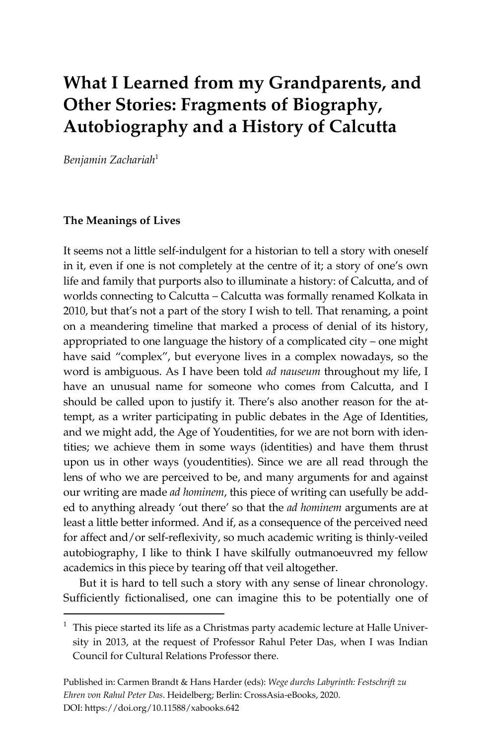# **What I Learned from my Grandparents, and Other Stories: Fragments of Biography, Autobiography and a History of Calcutta**

*Benjamin Zachariah*<sup>1</sup>

#### **The Meanings of Lives**

 $\overline{a}$ 

It seems not a little self-indulgent for a historian to tell a story with oneself in it, even if one is not completely at the centre of it; a story of one's own life and family that purports also to illuminate a history: of Calcutta, and of worlds connecting to Calcutta – Calcutta was formally renamed Kolkata in 2010, but that's not a part of the story I wish to tell. That renaming, a point on a meandering timeline that marked a process of denial of its history, appropriated to one language the history of a complicated city – one might have said "complex", but everyone lives in a complex nowadays, so the word is ambiguous. As I have been told *ad nauseum* throughout my life, I have an unusual name for someone who comes from Calcutta, and I should be called upon to justify it. There's also another reason for the attempt, as a writer participating in public debates in the Age of Identities, and we might add, the Age of Youdentities, for we are not born with identities; we achieve them in some ways (identities) and have them thrust upon us in other ways (youdentities). Since we are all read through the lens of who we are perceived to be, and many arguments for and against our writing are made *ad hominem*, this piece of writing can usefully be added to anything already 'out there' so that the *ad hominem* arguments are at least a little better informed. And if, as a consequence of the perceived need for affect and/or self-reflexivity, so much academic writing is thinly-veiled autobiography, I like to think I have skilfully outmanoeuvred my fellow academics in this piece by tearing off that veil altogether.

But it is hard to tell such a story with any sense of linear chronology. Sufficiently fictionalised, one can imagine this to be potentially one of

 $1$  This piece started its life as a Christmas party academic lecture at Halle University in 2013, at the request of Professor Rahul Peter Das, when I was Indian Council for Cultural Relations Professor there.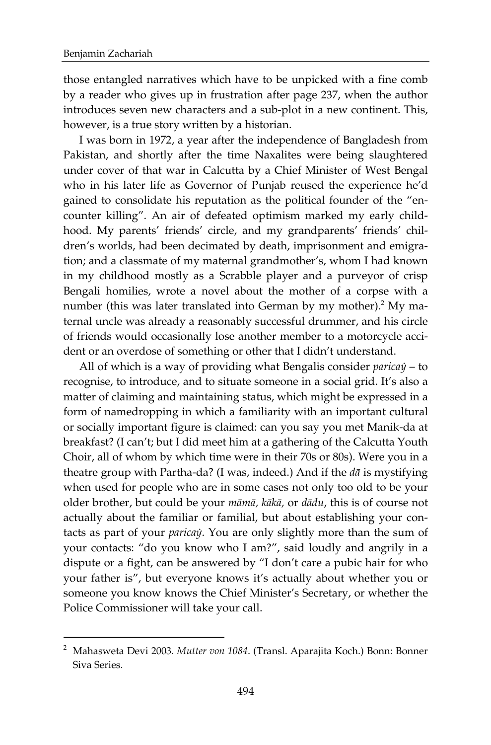l

those entangled narratives which have to be unpicked with a fine comb by a reader who gives up in frustration after page 237, when the author introduces seven new characters and a sub-plot in a new continent. This, however, is a true story written by a historian.

I was born in 1972, a year after the independence of Bangladesh from Pakistan, and shortly after the time Naxalites were being slaughtered under cover of that war in Calcutta by a Chief Minister of West Bengal who in his later life as Governor of Punjab reused the experience he'd gained to consolidate his reputation as the political founder of the "encounter killing". An air of defeated optimism marked my early childhood. My parents' friends' circle, and my grandparents' friends' children's worlds, had been decimated by death, imprisonment and emigration; and a classmate of my maternal grandmother's, whom I had known in my childhood mostly as a Scrabble player and a purveyor of crisp Bengali homilies, wrote a novel about the mother of a corpse with a number (this was later translated into German by my mother).<sup>2</sup> My maternal uncle was already a reasonably successful drummer, and his circle of friends would occasionally lose another member to a motorcycle accident or an overdose of something or other that I didn't understand.

All of which is a way of providing what Bengalis consider *paricaẏ* – to recognise, to introduce, and to situate someone in a social grid. It's also a matter of claiming and maintaining status, which might be expressed in a form of namedropping in which a familiarity with an important cultural or socially important figure is claimed: can you say you met Manik-da at breakfast? (I can't; but I did meet him at a gathering of the Calcutta Youth Choir, all of whom by which time were in their 70s or 80s). Were you in a theatre group with Partha-da? (I was, indeed.) And if the *dā* is mystifying when used for people who are in some cases not only too old to be your older brother, but could be your *māmā, kākā,* or *dādu*, this is of course not actually about the familiar or familial, but about establishing your contacts as part of your *paricaẏ*. You are only slightly more than the sum of your contacts: "do you know who I am?", said loudly and angrily in a dispute or a fight, can be answered by "I don't care a pubic hair for who your father is", but everyone knows it's actually about whether you or someone you know knows the Chief Minister's Secretary, or whether the Police Commissioner will take your call.

<sup>2</sup> Mahasweta Devi 2003. *Mutter von 1084*. (Transl. Aparajita Koch.) Bonn: Bonner Siva Series.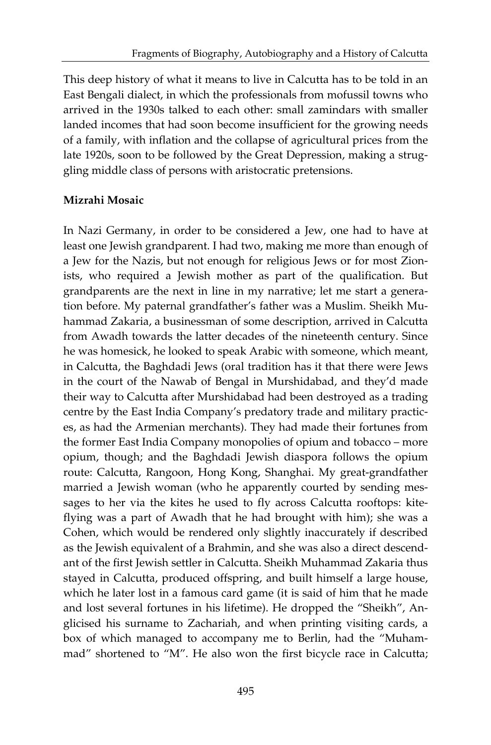This deep history of what it means to live in Calcutta has to be told in an East Bengali dialect, in which the professionals from mofussil towns who arrived in the 1930s talked to each other: small zamindars with smaller landed incomes that had soon become insufficient for the growing needs of a family, with inflation and the collapse of agricultural prices from the late 1920s, soon to be followed by the Great Depression, making a struggling middle class of persons with aristocratic pretensions.

## **Mizrahi Mosaic**

In Nazi Germany, in order to be considered a Jew, one had to have at least one Jewish grandparent. I had two, making me more than enough of a Jew for the Nazis, but not enough for religious Jews or for most Zionists, who required a Jewish mother as part of the qualification. But grandparents are the next in line in my narrative; let me start a generation before. My paternal grandfather's father was a Muslim. Sheikh Muhammad Zakaria, a businessman of some description, arrived in Calcutta from Awadh towards the latter decades of the nineteenth century. Since he was homesick, he looked to speak Arabic with someone, which meant, in Calcutta, the Baghdadi Jews (oral tradition has it that there were Jews in the court of the Nawab of Bengal in Murshidabad, and they'd made their way to Calcutta after Murshidabad had been destroyed as a trading centre by the East India Company's predatory trade and military practices, as had the Armenian merchants). They had made their fortunes from the former East India Company monopolies of opium and tobacco – more opium, though; and the Baghdadi Jewish diaspora follows the opium route: Calcutta, Rangoon, Hong Kong, Shanghai. My great-grandfather married a Jewish woman (who he apparently courted by sending messages to her via the kites he used to fly across Calcutta rooftops: kiteflying was a part of Awadh that he had brought with him); she was a Cohen, which would be rendered only slightly inaccurately if described as the Jewish equivalent of a Brahmin, and she was also a direct descendant of the first Jewish settler in Calcutta. Sheikh Muhammad Zakaria thus stayed in Calcutta, produced offspring, and built himself a large house, which he later lost in a famous card game (it is said of him that he made and lost several fortunes in his lifetime). He dropped the "Sheikh", Anglicised his surname to Zachariah, and when printing visiting cards, a box of which managed to accompany me to Berlin, had the "Muhammad" shortened to "M". He also won the first bicycle race in Calcutta;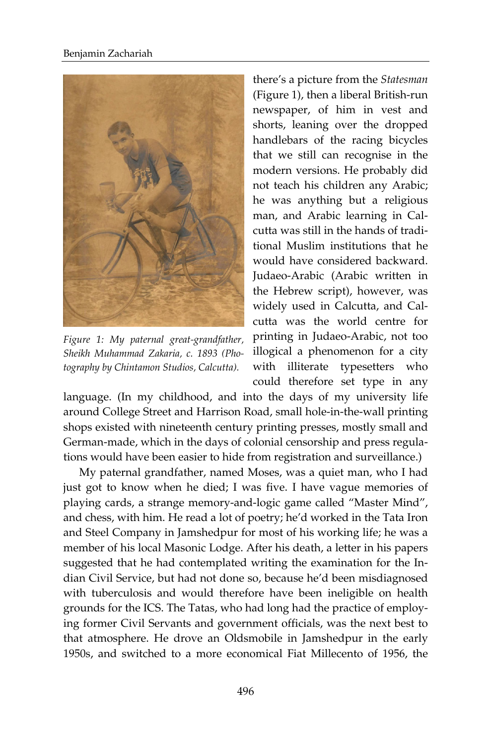

*Figure 1: My paternal great-grandfather, Sheikh Muhammad Zakaria, c. 1893 (Photography by Chintamon Studios, Calcutta).*

there's a picture from the *Statesman* (Figure 1), then a liberal British-run newspaper, of him in vest and shorts, leaning over the dropped handlebars of the racing bicycles that we still can recognise in the modern versions. He probably did not teach his children any Arabic; he was anything but a religious man, and Arabic learning in Calcutta was still in the hands of traditional Muslim institutions that he would have considered backward. Judaeo-Arabic (Arabic written in the Hebrew script), however, was widely used in Calcutta, and Calcutta was the world centre for printing in Judaeo-Arabic, not too illogical a phenomenon for a city with illiterate typesetters who could therefore set type in any

language. (In my childhood, and into the days of my university life around College Street and Harrison Road, small hole-in-the-wall printing shops existed with nineteenth century printing presses, mostly small and German-made, which in the days of colonial censorship and press regulations would have been easier to hide from registration and surveillance.)

My paternal grandfather, named Moses, was a quiet man, who I had just got to know when he died; I was five. I have vague memories of playing cards, a strange memory-and-logic game called "Master Mind", and chess, with him. He read a lot of poetry; he'd worked in the Tata Iron and Steel Company in Jamshedpur for most of his working life; he was a member of his local Masonic Lodge. After his death, a letter in his papers suggested that he had contemplated writing the examination for the Indian Civil Service, but had not done so, because he'd been misdiagnosed with tuberculosis and would therefore have been ineligible on health grounds for the ICS. The Tatas, who had long had the practice of employing former Civil Servants and government officials, was the next best to that atmosphere. He drove an Oldsmobile in Jamshedpur in the early 1950s, and switched to a more economical Fiat Millecento of 1956, the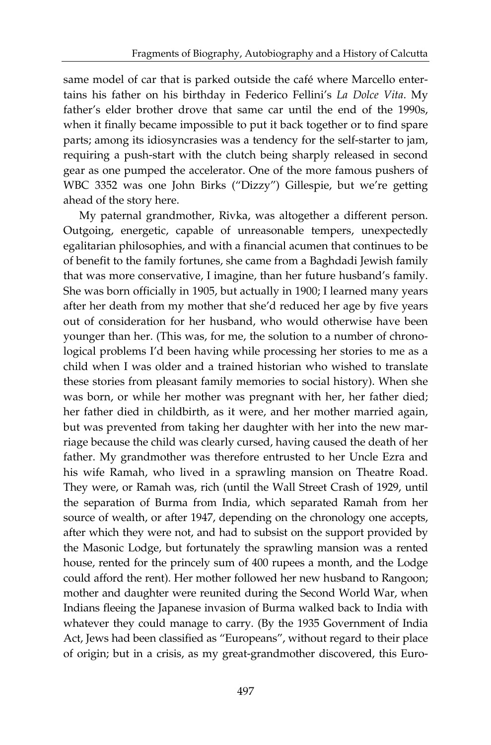same model of car that is parked outside the café where Marcello entertains his father on his birthday in Federico Fellini's *La Dolce Vita*. My father's elder brother drove that same car until the end of the 1990s, when it finally became impossible to put it back together or to find spare parts; among its idiosyncrasies was a tendency for the self-starter to jam, requiring a push-start with the clutch being sharply released in second gear as one pumped the accelerator. One of the more famous pushers of WBC 3352 was one John Birks ("Dizzy") Gillespie, but we're getting ahead of the story here.

My paternal grandmother, Rivka, was altogether a different person. Outgoing, energetic, capable of unreasonable tempers, unexpectedly egalitarian philosophies, and with a financial acumen that continues to be of benefit to the family fortunes, she came from a Baghdadi Jewish family that was more conservative, I imagine, than her future husband's family. She was born officially in 1905, but actually in 1900; I learned many years after her death from my mother that she'd reduced her age by five years out of consideration for her husband, who would otherwise have been younger than her. (This was, for me, the solution to a number of chronological problems I'd been having while processing her stories to me as a child when I was older and a trained historian who wished to translate these stories from pleasant family memories to social history). When she was born, or while her mother was pregnant with her, her father died; her father died in childbirth, as it were, and her mother married again, but was prevented from taking her daughter with her into the new marriage because the child was clearly cursed, having caused the death of her father. My grandmother was therefore entrusted to her Uncle Ezra and his wife Ramah, who lived in a sprawling mansion on Theatre Road. They were, or Ramah was, rich (until the Wall Street Crash of 1929, until the separation of Burma from India, which separated Ramah from her source of wealth, or after 1947, depending on the chronology one accepts, after which they were not, and had to subsist on the support provided by the Masonic Lodge, but fortunately the sprawling mansion was a rented house, rented for the princely sum of 400 rupees a month, and the Lodge could afford the rent). Her mother followed her new husband to Rangoon; mother and daughter were reunited during the Second World War, when Indians fleeing the Japanese invasion of Burma walked back to India with whatever they could manage to carry. (By the 1935 Government of India Act, Jews had been classified as "Europeans", without regard to their place of origin; but in a crisis, as my great-grandmother discovered, this Euro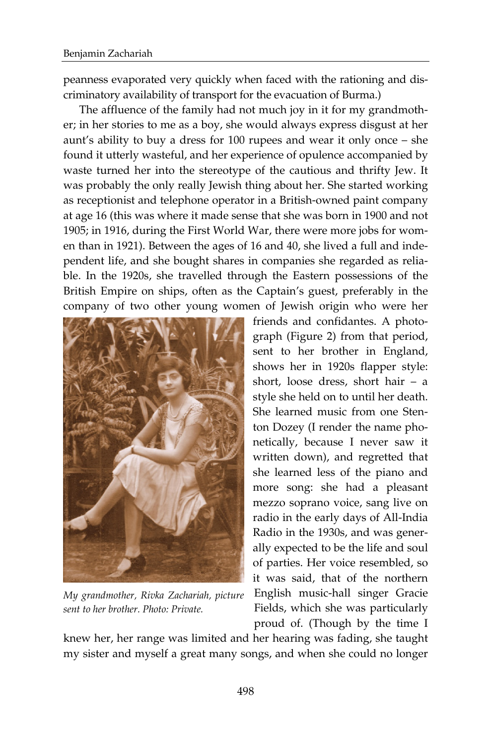peanness evaporated very quickly when faced with the rationing and discriminatory availability of transport for the evacuation of Burma.)

The affluence of the family had not much joy in it for my grandmother; in her stories to me as a boy, she would always express disgust at her aunt's ability to buy a dress for 100 rupees and wear it only once – she found it utterly wasteful, and her experience of opulence accompanied by waste turned her into the stereotype of the cautious and thrifty Jew. It was probably the only really Jewish thing about her. She started working as receptionist and telephone operator in a British-owned paint company at age 16 (this was where it made sense that she was born in 1900 and not 1905; in 1916, during the First World War, there were more jobs for women than in 1921). Between the ages of 16 and 40, she lived a full and independent life, and she bought shares in companies she regarded as reliable. In the 1920s, she travelled through the Eastern possessions of the British Empire on ships, often as the Captain's guest, preferably in the company of two other young women of Jewish origin who were her



*My grandmother, Rivka Zachariah, picture sent to her brother. Photo: Private.*

friends and confidantes. A photograph (Figure 2) from that period, sent to her brother in England, shows her in 1920s flapper style: short, loose dress, short hair – a style she held on to until her death. She learned music from one Stenton Dozey (I render the name phonetically, because I never saw it written down), and regretted that she learned less of the piano and more song: she had a pleasant mezzo soprano voice, sang live on radio in the early days of All-India Radio in the 1930s, and was generally expected to be the life and soul of parties. Her voice resembled, so it was said, that of the northern English music-hall singer Gracie Fields, which she was particularly proud of. (Though by the time I

knew her, her range was limited and her hearing was fading, she taught my sister and myself a great many songs, and when she could no longer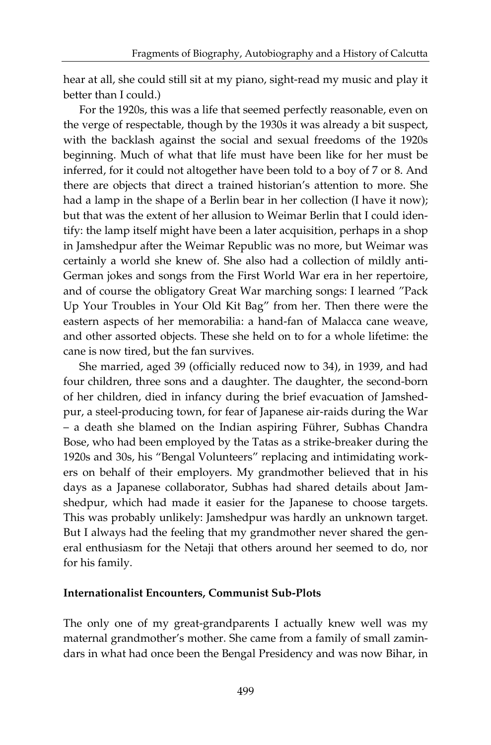hear at all, she could still sit at my piano, sight-read my music and play it better than I could.)

For the 1920s, this was a life that seemed perfectly reasonable, even on the verge of respectable, though by the 1930s it was already a bit suspect, with the backlash against the social and sexual freedoms of the 1920s beginning. Much of what that life must have been like for her must be inferred, for it could not altogether have been told to a boy of 7 or 8. And there are objects that direct a trained historian's attention to more. She had a lamp in the shape of a Berlin bear in her collection (I have it now); but that was the extent of her allusion to Weimar Berlin that I could identify: the lamp itself might have been a later acquisition, perhaps in a shop in Jamshedpur after the Weimar Republic was no more, but Weimar was certainly a world she knew of. She also had a collection of mildly anti-German jokes and songs from the First World War era in her repertoire, and of course the obligatory Great War marching songs: I learned "Pack Up Your Troubles in Your Old Kit Bag" from her. Then there were the eastern aspects of her memorabilia: a hand-fan of Malacca cane weave, and other assorted objects. These she held on to for a whole lifetime: the cane is now tired, but the fan survives.

She married, aged 39 (officially reduced now to 34), in 1939, and had four children, three sons and a daughter. The daughter, the second-born of her children, died in infancy during the brief evacuation of Jamshedpur, a steel-producing town, for fear of Japanese air-raids during the War – a death she blamed on the Indian aspiring Führer, Subhas Chandra Bose, who had been employed by the Tatas as a strike-breaker during the 1920s and 30s, his "Bengal Volunteers" replacing and intimidating workers on behalf of their employers. My grandmother believed that in his days as a Japanese collaborator, Subhas had shared details about Jamshedpur, which had made it easier for the Japanese to choose targets. This was probably unlikely: Jamshedpur was hardly an unknown target. But I always had the feeling that my grandmother never shared the general enthusiasm for the Netaji that others around her seemed to do, nor for his family.

#### **Internationalist Encounters, Communist Sub-Plots**

The only one of my great-grandparents I actually knew well was my maternal grandmother's mother. She came from a family of small zamindars in what had once been the Bengal Presidency and was now Bihar, in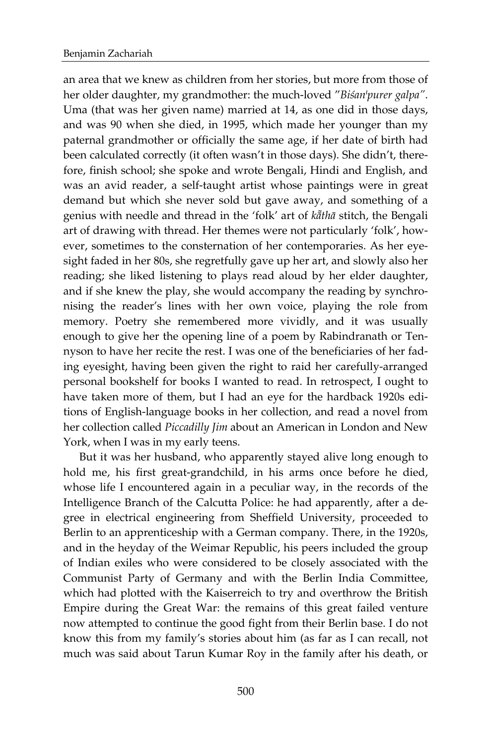an area that we knew as children from her stories, but more from those of her older daughter, my grandmother: the much-loved "Biśan<sup>*'purer galpa"*.</sup> Uma (that was her given name) married at 14, as one did in those days, and was 90 when she died, in 1995, which made her younger than my paternal grandmother or officially the same age, if her date of birth had been calculated correctly (it often wasn't in those days). She didn't, therefore, finish school; she spoke and wrote Bengali, Hindi and English, and was an avid reader, a self-taught artist whose paintings were in great demand but which she never sold but gave away, and something of a genius with needle and thread in the 'folk' art of *k7thā* stitch, the Bengali art of drawing with thread. Her themes were not particularly 'folk', however, sometimes to the consternation of her contemporaries. As her eyesight faded in her 80s, she regretfully gave up her art, and slowly also her reading; she liked listening to plays read aloud by her elder daughter, and if she knew the play, she would accompany the reading by synchronising the reader's lines with her own voice, playing the role from memory. Poetry she remembered more vividly, and it was usually enough to give her the opening line of a poem by Rabindranath or Tennyson to have her recite the rest. I was one of the beneficiaries of her fading eyesight, having been given the right to raid her carefully-arranged personal bookshelf for books I wanted to read. In retrospect, I ought to have taken more of them, but I had an eye for the hardback 1920s editions of English-language books in her collection, and read a novel from her collection called *Piccadilly Jim* about an American in London and New York, when I was in my early teens.

But it was her husband, who apparently stayed alive long enough to hold me, his first great-grandchild, in his arms once before he died, whose life I encountered again in a peculiar way, in the records of the Intelligence Branch of the Calcutta Police: he had apparently, after a degree in electrical engineering from Sheffield University, proceeded to Berlin to an apprenticeship with a German company. There, in the 1920s, and in the heyday of the Weimar Republic, his peers included the group of Indian exiles who were considered to be closely associated with the Communist Party of Germany and with the Berlin India Committee, which had plotted with the Kaiserreich to try and overthrow the British Empire during the Great War: the remains of this great failed venture now attempted to continue the good fight from their Berlin base. I do not know this from my family's stories about him (as far as I can recall, not much was said about Tarun Kumar Roy in the family after his death, or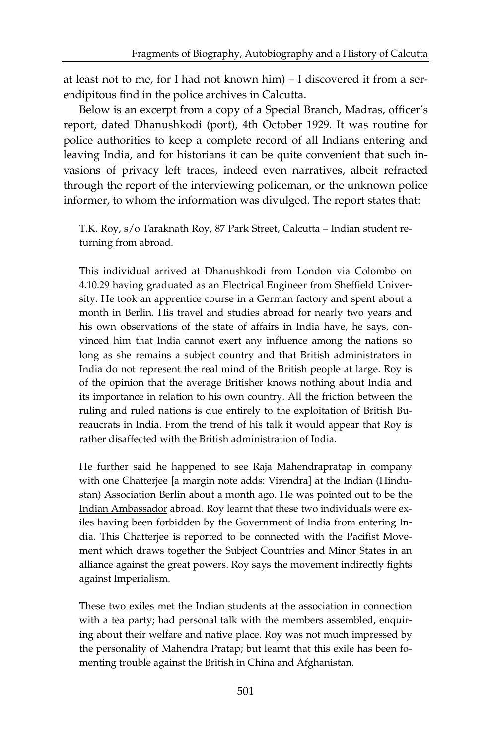at least not to me, for I had not known him) – I discovered it from a serendipitous find in the police archives in Calcutta.

Below is an excerpt from a copy of a Special Branch, Madras, officer's report, dated Dhanushkodi (port), 4th October 1929. It was routine for police authorities to keep a complete record of all Indians entering and leaving India, and for historians it can be quite convenient that such invasions of privacy left traces, indeed even narratives, albeit refracted through the report of the interviewing policeman, or the unknown police informer, to whom the information was divulged. The report states that:

T.K. Roy, s/o Taraknath Roy, 87 Park Street, Calcutta – Indian student returning from abroad.

This individual arrived at Dhanushkodi from London via Colombo on 4.10.29 having graduated as an Electrical Engineer from Sheffield University. He took an apprentice course in a German factory and spent about a month in Berlin. His travel and studies abroad for nearly two years and his own observations of the state of affairs in India have, he says, convinced him that India cannot exert any influence among the nations so long as she remains a subject country and that British administrators in India do not represent the real mind of the British people at large. Roy is of the opinion that the average Britisher knows nothing about India and its importance in relation to his own country. All the friction between the ruling and ruled nations is due entirely to the exploitation of British Bureaucrats in India. From the trend of his talk it would appear that Roy is rather disaffected with the British administration of India.

He further said he happened to see Raja Mahendrapratap in company with one Chatterjee [a margin note adds: Virendra] at the Indian (Hindustan) Association Berlin about a month ago. He was pointed out to be the Indian Ambassador abroad. Roy learnt that these two individuals were exiles having been forbidden by the Government of India from entering India. This Chatterjee is reported to be connected with the Pacifist Movement which draws together the Subject Countries and Minor States in an alliance against the great powers. Roy says the movement indirectly fights against Imperialism.

These two exiles met the Indian students at the association in connection with a tea party; had personal talk with the members assembled, enquiring about their welfare and native place. Roy was not much impressed by the personality of Mahendra Pratap; but learnt that this exile has been fomenting trouble against the British in China and Afghanistan.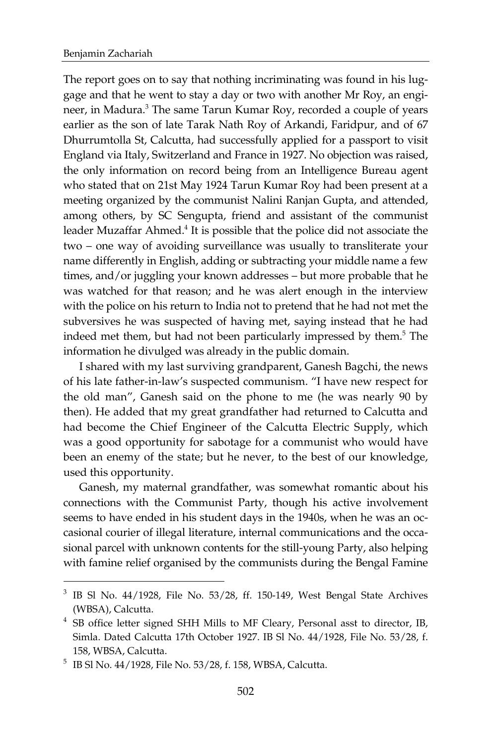$\overline{a}$ 

The report goes on to say that nothing incriminating was found in his luggage and that he went to stay a day or two with another Mr Roy, an engineer, in Madura.<sup>3</sup> The same Tarun Kumar Roy, recorded a couple of years earlier as the son of late Tarak Nath Roy of Arkandi, Faridpur, and of 67 Dhurrumtolla St, Calcutta, had successfully applied for a passport to visit England via Italy, Switzerland and France in 1927. No objection was raised, the only information on record being from an Intelligence Bureau agent who stated that on 21st May 1924 Tarun Kumar Roy had been present at a meeting organized by the communist Nalini Ranjan Gupta, and attended, among others, by SC Sengupta, friend and assistant of the communist leader Muzaffar Ahmed.<sup>4</sup> It is possible that the police did not associate the two – one way of avoiding surveillance was usually to transliterate your name differently in English, adding or subtracting your middle name a few times, and/or juggling your known addresses – but more probable that he was watched for that reason; and he was alert enough in the interview with the police on his return to India not to pretend that he had not met the subversives he was suspected of having met, saying instead that he had indeed met them, but had not been particularly impressed by them.<sup>5</sup> The information he divulged was already in the public domain.

I shared with my last surviving grandparent, Ganesh Bagchi, the news of his late father-in-law's suspected communism. "I have new respect for the old man", Ganesh said on the phone to me (he was nearly 90 by then). He added that my great grandfather had returned to Calcutta and had become the Chief Engineer of the Calcutta Electric Supply, which was a good opportunity for sabotage for a communist who would have been an enemy of the state; but he never, to the best of our knowledge, used this opportunity.

Ganesh, my maternal grandfather, was somewhat romantic about his connections with the Communist Party, though his active involvement seems to have ended in his student days in the 1940s, when he was an occasional courier of illegal literature, internal communications and the occasional parcel with unknown contents for the still-young Party, also helping with famine relief organised by the communists during the Bengal Famine

 $3$  IB Sl No. 44/1928, File No. 53/28, ff. 150-149, West Bengal State Archives (WBSA), Calcutta.

<sup>&</sup>lt;sup>4</sup> SB office letter signed SHH Mills to MF Cleary, Personal asst to director, IB, Simla. Dated Calcutta 17th October 1927. IB Sl No. 44/1928, File No. 53/28, f. 158, WBSA, Calcutta.

<sup>5</sup> IB Sl No. 44/1928, File No. 53/28, f. 158, WBSA, Calcutta.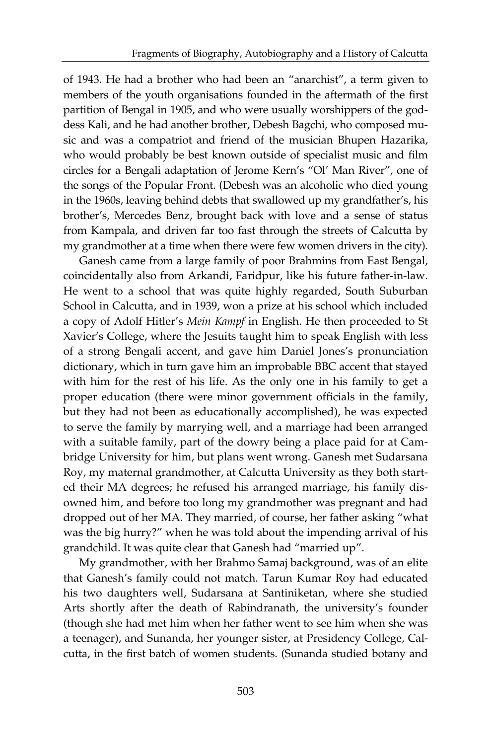of 1943. He had a brother who had been an "anarchist", a term given to members of the youth organisations founded in the aftermath of the first partition of Bengal in 1905, and who were usually worshippers of the goddess Kali, and he had another brother, Debesh Bagchi, who composed music and was a compatriot and friend of the musician Bhupen Hazarika, who would probably be best known outside of specialist music and film circles for a Bengali adaptation of Jerome Kern's "Ol' Man River", one of the songs of the Popular Front. (Debesh was an alcoholic who died young in the 1960s, leaving behind debts that swallowed up my grandfather's, his brother's, Mercedes Benz, brought back with love and a sense of status from Kampala, and driven far too fast through the streets of Calcutta by my grandmother at a time when there were few women drivers in the city).

Ganesh came from a large family of poor Brahmins from East Bengal, coincidentally also from Arkandi, Faridpur, like his future father-in-law. He went to a school that was quite highly regarded, South Suburban School in Calcutta, and in 1939, won a prize at his school which included a copy of Adolf Hitler's *Mein Kampf* in English. He then proceeded to St Xavier's College, where the Jesuits taught him to speak English with less of a strong Bengali accent, and gave him Daniel Jones's pronunciation dictionary, which in turn gave him an improbable BBC accent that stayed with him for the rest of his life. As the only one in his family to get a proper education (there were minor government officials in the family, but they had not been as educationally accomplished), he was expected to serve the family by marrying well, and a marriage had been arranged with a suitable family, part of the dowry being a place paid for at Cambridge University for him, but plans went wrong. Ganesh met Sudarsana Roy, my maternal grandmother, at Calcutta University as they both started their MA degrees; he refused his arranged marriage, his family disowned him, and before too long my grandmother was pregnant and had dropped out of her MA. They married, of course, her father asking "what was the big hurry?" when he was told about the impending arrival of his grandchild. It was quite clear that Ganesh had "married up".

My grandmother, with her Brahmo Samaj background, was of an elite that Ganesh's family could not match. Tarun Kumar Roy had educated his two daughters well, Sudarsana at Santiniketan, where she studied Arts shortly after the death of Rabindranath, the university's founder (though she had met him when her father went to see him when she was a teenager), and Sunanda, her younger sister, at Presidency College, Calcutta, in the first batch of women students. (Sunanda studied botany and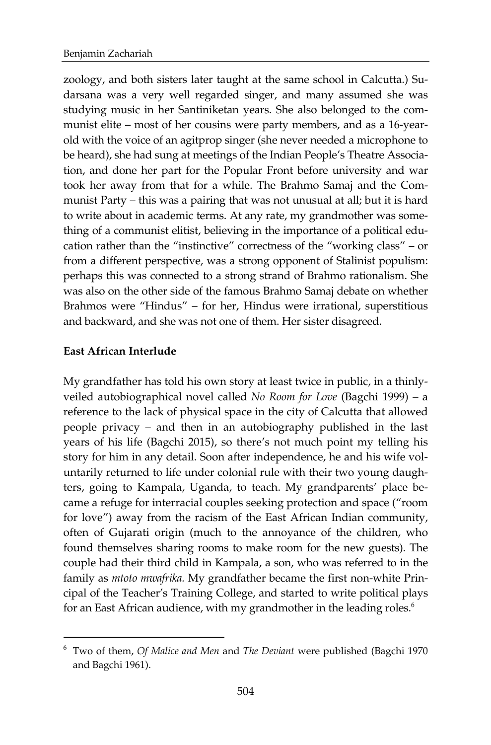zoology, and both sisters later taught at the same school in Calcutta.) Sudarsana was a very well regarded singer, and many assumed she was studying music in her Santiniketan years. She also belonged to the communist elite – most of her cousins were party members, and as a 16-yearold with the voice of an agitprop singer (she never needed a microphone to be heard), she had sung at meetings of the Indian People's Theatre Association, and done her part for the Popular Front before university and war took her away from that for a while. The Brahmo Samaj and the Communist Party – this was a pairing that was not unusual at all; but it is hard to write about in academic terms. At any rate, my grandmother was something of a communist elitist, believing in the importance of a political education rather than the "instinctive" correctness of the "working class" – or from a different perspective, was a strong opponent of Stalinist populism: perhaps this was connected to a strong strand of Brahmo rationalism. She was also on the other side of the famous Brahmo Samaj debate on whether Brahmos were "Hindus" – for her, Hindus were irrational, superstitious and backward, and she was not one of them. Her sister disagreed.

## **East African Interlude**

l

My grandfather has told his own story at least twice in public, in a thinlyveiled autobiographical novel called *No Room for Love* (Bagchi 1999) *–* a reference to the lack of physical space in the city of Calcutta that allowed people privacy – and then in an autobiography published in the last years of his life (Bagchi 2015), so there's not much point my telling his story for him in any detail. Soon after independence, he and his wife voluntarily returned to life under colonial rule with their two young daughters, going to Kampala, Uganda, to teach. My grandparents' place became a refuge for interracial couples seeking protection and space ("room for love") away from the racism of the East African Indian community, often of Gujarati origin (much to the annoyance of the children, who found themselves sharing rooms to make room for the new guests). The couple had their third child in Kampala, a son, who was referred to in the family as *mtoto mwafrika.* My grandfather became the first non-white Principal of the Teacher's Training College, and started to write political plays for an East African audience, with my grandmother in the leading roles. $^6$ 

<sup>6</sup> Two of them, *Of Malice and Men* and *The Deviant* were published (Bagchi 1970 and Bagchi 1961).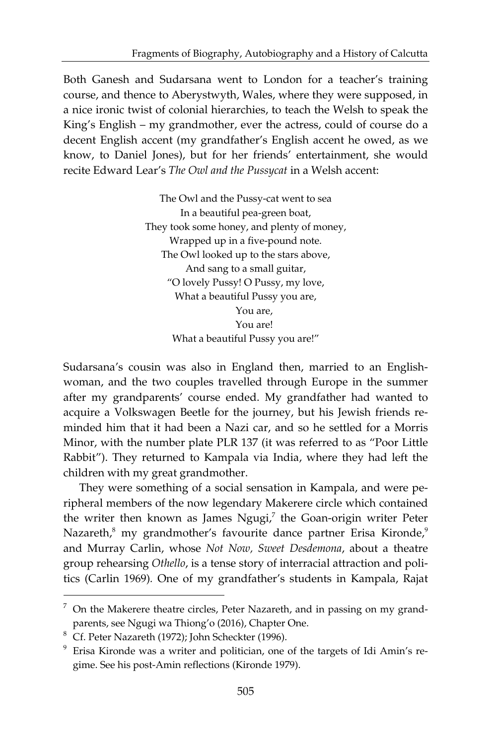Both Ganesh and Sudarsana went to London for a teacher's training course, and thence to Aberystwyth, Wales, where they were supposed, in a nice ironic twist of colonial hierarchies, to teach the Welsh to speak the King's English – my grandmother, ever the actress, could of course do a decent English accent (my grandfather's English accent he owed, as we know, to Daniel Jones), but for her friends' entertainment, she would recite Edward Lear's *The Owl and the Pussycat* in a Welsh accent:

> The Owl and the Pussy-cat went to sea In a beautiful pea-green boat, They took some honey, and plenty of money, Wrapped up in a five-pound note. The Owl looked up to the stars above, And sang to a small guitar, "O lovely Pussy! O Pussy, my love, What a beautiful Pussy you are, You are, You are! What a beautiful Pussy you are!"

Sudarsana's cousin was also in England then, married to an Englishwoman, and the two couples travelled through Europe in the summer after my grandparents' course ended. My grandfather had wanted to acquire a Volkswagen Beetle for the journey, but his Jewish friends reminded him that it had been a Nazi car, and so he settled for a Morris Minor, with the number plate PLR 137 (it was referred to as "Poor Little Rabbit"). They returned to Kampala via India, where they had left the children with my great grandmother.

They were something of a social sensation in Kampala, and were peripheral members of the now legendary Makerere circle which contained the writer then known as James Ngugi,<sup>7</sup> the Goan-origin writer Peter Nazareth, $^8$  my grandmother's favourite dance partner Erisa Kironde, $^9$ and Murray Carlin, whose *Not Now, Sweet Desdemona*, about a theatre group rehearsing *Othello*, is a tense story of interracial attraction and politics (Carlin 1969)*.* One of my grandfather's students in Kampala, Rajat

l

 $7$  On the Makerere theatre circles, Peter Nazareth, and in passing on my grandparents, see Ngugi wa Thiong'o (2016), Chapter One.

<sup>8</sup> Cf. Peter Nazareth (1972); John Scheckter (1996).

<sup>&</sup>lt;sup>9</sup> Erisa Kironde was a writer and politician, one of the targets of Idi Amin's regime. See his post-Amin reflections (Kironde 1979).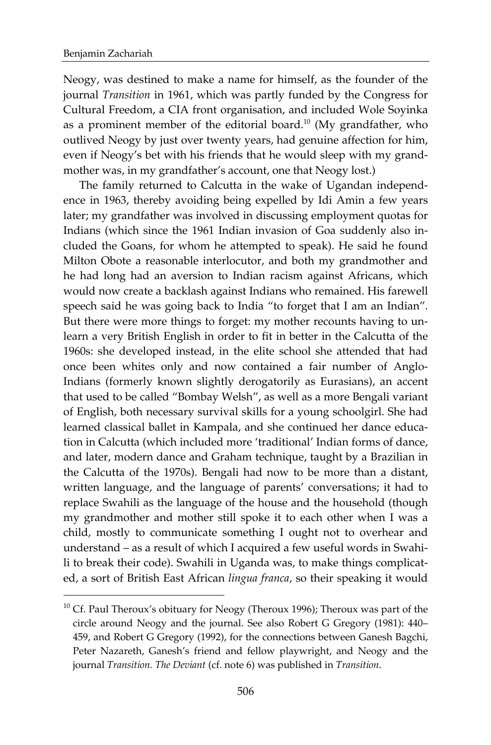l

Neogy, was destined to make a name for himself, as the founder of the journal *Transition* in 1961, which was partly funded by the Congress for Cultural Freedom, a CIA front organisation, and included Wole Soyinka as a prominent member of the editorial board.<sup>10</sup> (My grandfather, who outlived Neogy by just over twenty years, had genuine affection for him, even if Neogy's bet with his friends that he would sleep with my grandmother was, in my grandfather's account, one that Neogy lost.)

The family returned to Calcutta in the wake of Ugandan independence in 1963, thereby avoiding being expelled by Idi Amin a few years later; my grandfather was involved in discussing employment quotas for Indians (which since the 1961 Indian invasion of Goa suddenly also included the Goans, for whom he attempted to speak). He said he found Milton Obote a reasonable interlocutor, and both my grandmother and he had long had an aversion to Indian racism against Africans, which would now create a backlash against Indians who remained. His farewell speech said he was going back to India "to forget that I am an Indian". But there were more things to forget: my mother recounts having to unlearn a very British English in order to fit in better in the Calcutta of the 1960s: she developed instead, in the elite school she attended that had once been whites only and now contained a fair number of Anglo-Indians (formerly known slightly derogatorily as Eurasians), an accent that used to be called "Bombay Welsh", as well as a more Bengali variant of English, both necessary survival skills for a young schoolgirl. She had learned classical ballet in Kampala, and she continued her dance education in Calcutta (which included more 'traditional' Indian forms of dance, and later, modern dance and Graham technique, taught by a Brazilian in the Calcutta of the 1970s). Bengali had now to be more than a distant, written language, and the language of parents' conversations; it had to replace Swahili as the language of the house and the household (though my grandmother and mother still spoke it to each other when I was a child, mostly to communicate something I ought not to overhear and understand – as a result of which I acquired a few useful words in Swahili to break their code). Swahili in Uganda was, to make things complicated, a sort of British East African *lingua franca*, so their speaking it would

<sup>&</sup>lt;sup>10</sup> Cf. Paul Theroux's obituary for Neogy (Theroux 1996); Theroux was part of the circle around Neogy and the journal. See also Robert G Gregory (1981): 440– 459, and Robert G Gregory (1992), for the connections between Ganesh Bagchi, Peter Nazareth, Ganesh's friend and fellow playwright, and Neogy and the journal *Transition. The Deviant* (cf. note 6) was published in *Transition*.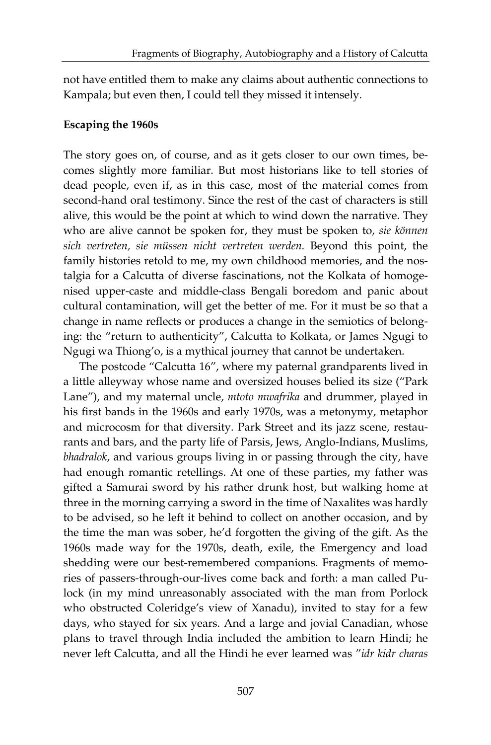not have entitled them to make any claims about authentic connections to Kampala; but even then, I could tell they missed it intensely.

### **Escaping the 1960s**

The story goes on, of course, and as it gets closer to our own times, becomes slightly more familiar. But most historians like to tell stories of dead people, even if, as in this case, most of the material comes from second-hand oral testimony. Since the rest of the cast of characters is still alive, this would be the point at which to wind down the narrative. They who are alive cannot be spoken for, they must be spoken to, *sie können sich vertreten, sie müssen nicht vertreten werden.* Beyond this point, the family histories retold to me, my own childhood memories, and the nostalgia for a Calcutta of diverse fascinations, not the Kolkata of homogenised upper-caste and middle-class Bengali boredom and panic about cultural contamination, will get the better of me. For it must be so that a change in name reflects or produces a change in the semiotics of belonging: the "return to authenticity", Calcutta to Kolkata, or James Ngugi to Ngugi wa Thiong'o, is a mythical journey that cannot be undertaken.

The postcode "Calcutta 16", where my paternal grandparents lived in a little alleyway whose name and oversized houses belied its size ("Park Lane"), and my maternal uncle, *mtoto mwafrika* and drummer, played in his first bands in the 1960s and early 1970s, was a metonymy, metaphor and microcosm for that diversity. Park Street and its jazz scene, restaurants and bars, and the party life of Parsis, Jews, Anglo-Indians, Muslims, *bhadralok*, and various groups living in or passing through the city, have had enough romantic retellings. At one of these parties, my father was gifted a Samurai sword by his rather drunk host, but walking home at three in the morning carrying a sword in the time of Naxalites was hardly to be advised, so he left it behind to collect on another occasion, and by the time the man was sober, he'd forgotten the giving of the gift. As the 1960s made way for the 1970s, death, exile, the Emergency and load shedding were our best-remembered companions. Fragments of memories of passers-through-our-lives come back and forth: a man called Pulock (in my mind unreasonably associated with the man from Porlock who obstructed Coleridge's view of Xanadu), invited to stay for a few days, who stayed for six years. And a large and jovial Canadian, whose plans to travel through India included the ambition to learn Hindi; he never left Calcutta, and all the Hindi he ever learned was "*idr kidr charas*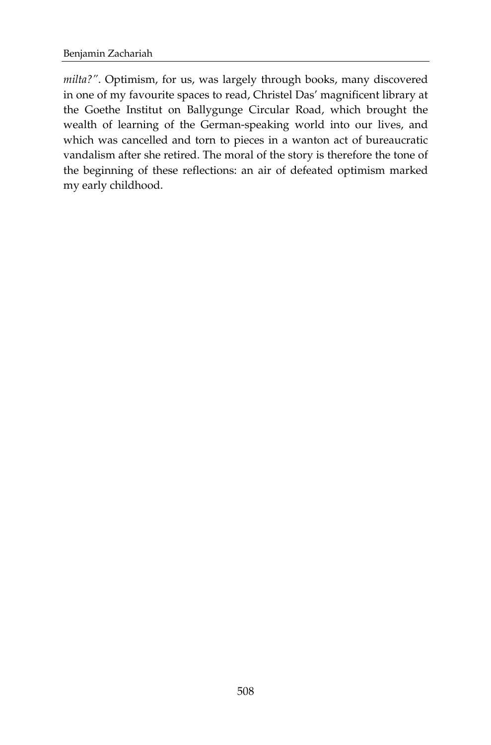*milta?"*. Optimism, for us, was largely through books, many discovered in one of my favourite spaces to read, Christel Das' magnificent library at the Goethe Institut on Ballygunge Circular Road, which brought the wealth of learning of the German-speaking world into our lives, and which was cancelled and torn to pieces in a wanton act of bureaucratic vandalism after she retired. The moral of the story is therefore the tone of the beginning of these reflections: an air of defeated optimism marked my early childhood.